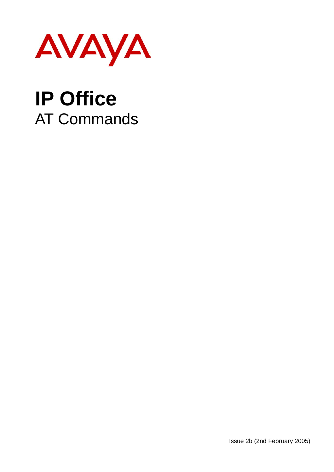

# **IP Office**  AT Commands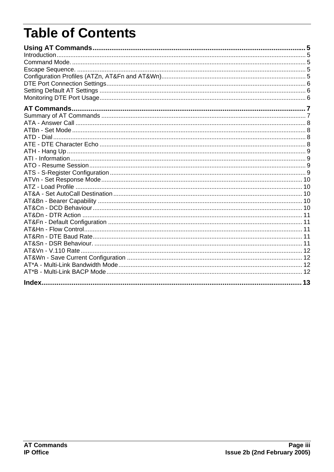## **Table of Contents**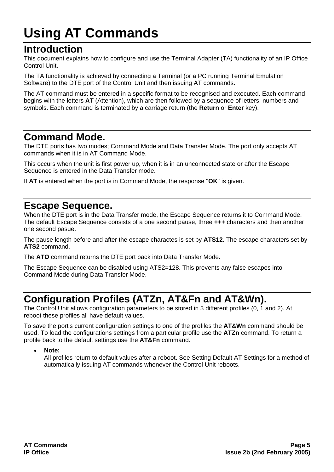## **Using AT Commands**

### **Introduction**

This document explains how to configure and use the Terminal Adapter (TA) functionality of an IP Office Control Unit.

The TA functionality is achieved by connecting a Terminal (or a PC running Terminal Emulation Software) to the DTE port of the Control Unit and then issuing AT commands.

The AT command must be entered in a specific format to be recognised and executed. Each command begins with the letters **AT** (Attention), which are then followed by a sequence of letters, numbers and symbols. Each command is terminated by a carriage return (the **Return** or **Enter** key).

### **Command Mode.**

The DTE ports has two modes; Command Mode and Data Transfer Mode. The port only accepts AT commands when it is in AT Command Mode.

This occurs when the unit is first power up, when it is in an unconnected state or after the Escape Sequence is entered in the Data Transfer mode.

If **AT** is entered when the port is in Command Mode, the response "**OK**" is given.

### **Escape Sequence.**

When the DTE port is in the Data Transfer mode, the Escape Sequence returns it to Command Mode. The default Escape Sequence consists of a one second pause, three **+++** characters and then another one second pasue.

The pause length before and after the escape charactes is set by **ATS12**. The escape characters set by **ATS2** command.

The **ATO** command returns the DTE port back into Data Transfer Mode.

The Escape Sequence can be disabled using ATS2=128. This prevents any false escapes into Command Mode during Data Transfer Mode.

### **Configuration Profiles (ATZn, AT&Fn and AT&Wn).**

The Control Unit allows configuration parameters to be stored in 3 different profiles (0, 1 and 2). At reboot these profiles all have default values.

To save the port's current configuration settings to one of the profiles the **AT&Wn** command should be used. To load the configurations settings from a particular profile use the **ATZn** command. To return a profile back to the default settings use the **AT&Fn** command.

• **Note:** 

All profiles return to default values after a reboot. See Setting Default AT Settings for a method of automatically issuing AT commands whenever the Control Unit reboots.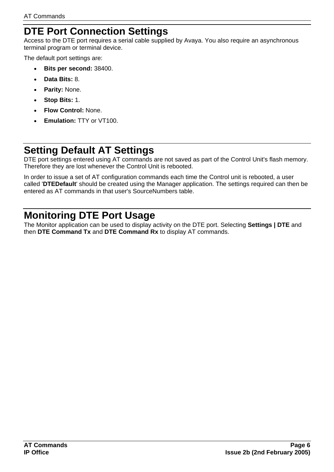### **DTE Port Connection Settings**

Access to the DTE port requires a serial cable supplied by Avaya. You also require an asynchronous terminal program or terminal device.

The default port settings are:

- **Bits per second:** 38400.
- **Data Bits:** 8.
- **Parity:** None.
- **Stop Bits:** 1.
- **Flow Control:** None.
- **Emulation:** TTY or VT100.

### **Setting Default AT Settings**

DTE port settings entered using AT commands are not saved as part of the Control Unit's flash memory. Therefore they are lost whenever the Control Unit is rebooted.

In order to issue a set of AT configuration commands each time the Control unit is rebooted, a user called '**DTEDefault**' should be created using the Manager application. The settings required can then be entered as AT commands in that user's SourceNumbers table.

### **Monitoring DTE Port Usage**

The Monitor application can be used to display activity on the DTE port. Selecting **Settings | DTE** and then **DTE Command Tx** and **DTE Command Rx** to display AT commands.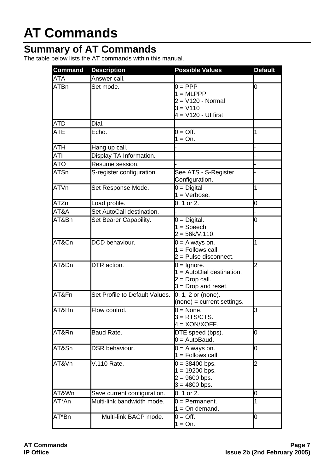## **AT Commands**

### **Summary of AT Commands**

The table below lists the AT commands within this manual.

| <b>Command</b> | <b>Description</b>             | <b>Possible Values</b>                                                                      | <b>Default</b> |
|----------------|--------------------------------|---------------------------------------------------------------------------------------------|----------------|
| <b>ATA</b>     | Answer call.                   |                                                                                             |                |
| <b>ATBn</b>    | Set mode.                      | $0 = PPP$<br>$1 = \text{MLPPP}$<br>$2 = V120 - Normal$<br>$3 = V110$<br>4 = V120 - UI first | 0              |
| <b>ATD</b>     | Dial.                          |                                                                                             |                |
| <b>ATE</b>     | Echo.                          | $\overline{0}$ = Off.<br>$1 = On.$                                                          | 1              |
| <b>ATH</b>     | Hang up call.                  |                                                                                             |                |
| <b>ATI</b>     | Display TA Information.        |                                                                                             |                |
| <b>ATO</b>     | Resume session.                |                                                                                             |                |
| <b>ATSn</b>    | S-register configuration.      | See ATS - S-Register<br>Configuration.                                                      |                |
| <b>ATVn</b>    | Set Response Mode.             | $0 = Digital$<br>$1 =$ Verbose.                                                             | 1              |
| <b>ATZn</b>    | Load profile.                  | 0, 1 or 2.                                                                                  | 0              |
| AT&A           | Set AutoCall destination.      |                                                                                             |                |
| AT&Bn          | Set Bearer Capability.         | $0 =$ Digital.<br>$1 =$ Speech.<br>$2 = 56k/V.110.$                                         | 0              |
| AT&Cn          | DCD behaviour.                 | $0 =$ Always on.<br>$1 =$ Follows call.<br>2 = Pulse disconnect.                            | 1              |
| AT&Dn          | DTR action.                    | $0 =$ Ignore.<br>$1 =$ AutoDial destination.<br>$2 = Drop call.$<br>$3 = Drop$ and reset.   | $\overline{c}$ |
| AT&Fn          | Set Profile to Default Values. | 0, 1, 2 or (none).<br>$(none) = current settings.$                                          |                |
| AT&Hn          | Flow control.                  | $0 = \text{None}.$<br>$3 = RTS/CTS$ .<br>$4 = XON/XOFF$ .                                   | 3              |
| AT&Rn          | Baud Rate.                     | DTE speed (bps).<br>$0 =$ AutoBaud.                                                         | 0              |
| AT&Sn          | DSR behaviour.                 | $0 =$ Always on.<br>$1 =$ Follows call.                                                     | 0              |
| AT&Vn          | V.110 Rate.                    | $0 = 38400$ bps.<br>$1 = 19200$ bps.<br>$= 9600$ bps.<br>$3 = 4800$ bps.                    | $\overline{2}$ |
| AT&Wn          | Save current configuration.    | 0, 1 or 2.                                                                                  | 0              |
| AT*An          | Multi-link bandwidth mode.     | $0 =$ Permanent.<br>$1 = On$ demand.                                                        | 1              |
| AT*Bn          | Multi-link BACP mode.          | $0 = \text{Off}.$<br>$1 = On.$                                                              | 0              |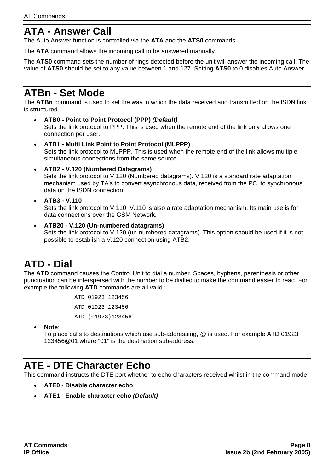### **ATA - Answer Call**

The Auto Answer function is controlled via the **ATA** and the **ATS0** commands.

The **ATA** command allows the incoming call to be answered manually.

The **ATS0** command sets the number of rings detected before the unit will answer the incoming call. The value of **ATS0** should be set to any value between 1 and 127. Setting **ATS0** to 0 disables Auto Answer.

### **ATBn - Set Mode**

The **ATBn** command is used to set the way in which the data received and transmitted on the ISDN link is structured.

- **ATB0 Point to Point Protocol (PPP)** *(Default)* Sets the link protocol to PPP. This is used when the remote end of the link only allows one connection per user.
- **ATB1 Multi Link Point to Point Protocol (MLPPP)** Sets the link protocol to MLPPP. This is used when the remote end of the link allows multiple simultaneous connections from the same source.
- **ATB2 V.120 (Numbered Datagrams)**

Sets the link protocol to V.120 (Numbered datagrams). V.120 is a standard rate adaptation mechanism used by TA's to convert asynchronous data, received from the PC, to synchronous data on the ISDN connection.

#### • **ATB3 - V.110**

Sets the link protocol to V.110. V.110 is also a rate adaptation mechanism. Its main use is for data connections over the GSM Network.

• **ATB20 - V.120 (Un-numbered datagrams)** Sets the link protocol to V.120 (un-numbered datagrams). This option should be used if it is not possible to establish a V.120 connection using ATB2.

### **ATD - Dial**

The **ATD** command causes the Control Unit to dial a number. Spaces, hyphens, parenthesis or other punctuation can be interspersed with the number to be dialled to make the command easier to read. For example the following **ATD** commands are all valid :-

```
ATD 01923 123456 
ATD 01923-123456 
ATD (01923)123456
```
• **Note**:

To place calls to destinations which use sub-addressing, @ is used. For example ATD 01923 123456@01 where "01" is the destination sub-address.

### **ATE - DTE Character Echo**

This command instructs the DTE port whether to echo characters received whilst in the command mode.

- **ATE0 Disable character echo**
- **ATE1 Enable character echo** *(Default)*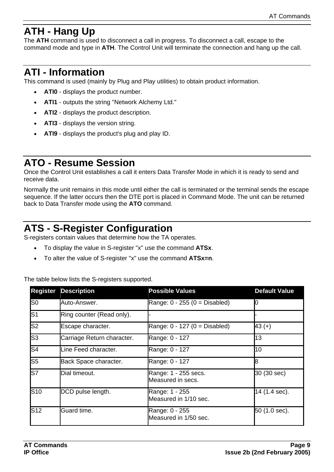### **ATH - Hang Up**

The **ATH** command is used to disconnect a call in progress. To disconnect a call, escape to the command mode and type in **ATH**. The Control Unit will terminate the connection and hang up the call.

### **ATI - Information**

This command is used (mainly by Plug and Play utilities) to obtain product information.

- **ATI0** displays the product number.
- **ATI1** outputs the string "Network Alchemy Ltd."
- **ATI2** displays the product description.
- **ATI3** displays the version string.
- **ATI9** displays the product's plug and play ID.

### **ATO - Resume Session**

Once the Control Unit establishes a call it enters Data Transfer Mode in which it is ready to send and receive data.

Normally the unit remains in this mode until either the call is terminated or the terminal sends the escape sequence. If the latter occurs then the DTE port is placed in Command Mode. The unit can be returned back to Data Transfer mode using the **ATO** command.

### **ATS - S-Register Configuration**

S-registers contain values that determine how the TA operates.

- To display the value in S-register "x" use the command **ATSx**.
- To alter the value of S-register "x" use the command **ATSx=n**.

#### The table below lists the S-registers supported.

| Register                 | <b>Description</b>         | <b>Possible Values</b>                    | <b>Default Value</b> |
|--------------------------|----------------------------|-------------------------------------------|----------------------|
| S <sub>0</sub>           | Auto-Answer.               | Range: $0 - 255$ ( $0 =$ Disabled)        |                      |
| $\overline{\mathsf{S}1}$ | Ring counter (Read only).  |                                           |                      |
| S <sub>2</sub>           | Escape character.          | Range: $0 - 127$ ( $0 =$ Disabled)        | $43 (+)$             |
| S <sub>3</sub>           | Carriage Return character. | Range: 0 - 127                            | 13                   |
| S <sub>4</sub>           | Line Feed character.       | Range: 0 - 127                            | 10                   |
| $\overline{\text{S5}}$   | Back Space character.      | Range: 0 - 127                            | 8                    |
| ls7                      | Dial timeout.              | Range: 1 - 255 secs.<br>Measured in secs. | 30 (30 sec)          |
| <b>S10</b>               | DCD pulse length.          | Range: 1 - 255<br>Measured in 1/10 sec.   | 14 (1.4 sec).        |
| S <sub>12</sub>          | Guard time.                | Range: 0 - 255<br>Measured in 1/50 sec.   | 50 (1.0 sec).        |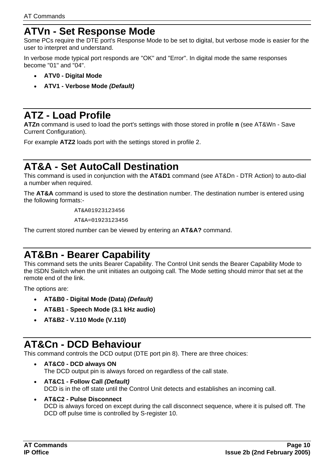### **ATVn - Set Response Mode**

Some PCs require the DTE port's Response Mode to be set to digital, but verbose mode is easier for the user to interpret and understand.

In verbose mode typical port responds are "OK" and "Error". In digital mode the same responses become "01" and "04".

- **ATV0 Digital Mode**
- **ATV1 Verbose Mode** *(Default)*

### **ATZ - Load Profile**

**ATZn** command is used to load the port's settings with those stored in profile **n** (see AT&Wn - Save Current Configuration).

For example **ATZ2** loads port with the settings stored in profile 2.

### **AT&A - Set AutoCall Destination**

This command is used in conjunction with the **AT&D1** command (see AT&Dn - DTR Action) to auto-dial a number when required.

The **AT&A** command is used to store the destination number. The destination number is entered using the following formats:-

AT&A01923123456

AT&A=01923123456

The current stored number can be viewed by entering an **AT&A?** command.

### **AT&Bn - Bearer Capability**

This command sets the units Bearer Capability. The Control Unit sends the Bearer Capability Mode to the ISDN Switch when the unit initiates an outgoing call. The Mode setting should mirror that set at the remote end of the link.

The options are:

- **AT&B0 Digital Mode (Data)** *(Default)*
- **AT&B1 Speech Mode (3.1 kHz audio)**
- **AT&B2 V.110 Mode (V.110)**

### **AT&Cn - DCD Behaviour**

This command controls the DCD output (DTE port pin 8). There are three choices:

- **AT&C0 DCD always ON** The DCD output pin is always forced on regardless of the call state.
- **AT&C1 Follow Call** *(Default)*  DCD is in the off state until the Control Unit detects and establishes an incoming call.
- **AT&C2 Pulse Disconnect** DCD is always forced on except during the call disconnect sequence, where it is pulsed off. The DCD off pulse time is controlled by S-register 10.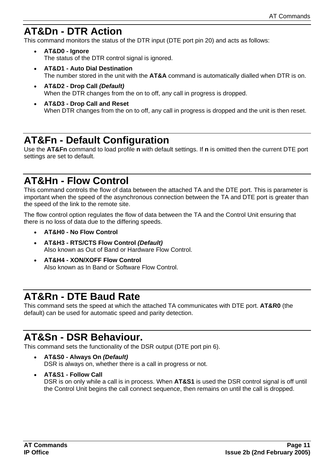### **AT&Dn - DTR Action**

This command monitors the status of the DTR input (DTE port pin 20) and acts as follows:

- **AT&D0 Ignore** The status of the DTR control signal is ignored.
- **AT&D1 Auto Dial Destination** The number stored in the unit with the **AT&A** command is automatically dialled when DTR is on.
- **AT&D2 Drop Call** *(Default)* When the DTR changes from the on to off, any call in progress is dropped.
- **AT&D3 Drop Call and Reset** When DTR changes from the on to off, any call in progress is dropped and the unit is then reset.

### **AT&Fn - Default Configuration**

Use the **AT&Fn** command to load profile **n** with default settings. If **n** is omitted then the current DTE port settings are set to default.

### **AT&Hn - Flow Control**

This command controls the flow of data between the attached TA and the DTE port. This is parameter is important when the speed of the asynchronous connection between the TA and DTE port is greater than the speed of the link to the remote site.

The flow control option regulates the flow of data between the TA and the Control Unit ensuring that there is no loss of data due to the differing speeds.

- **AT&H0 No Flow Control**
- **AT&H3 RTS/CTS Flow Control** *(Default)* Also known as Out of Band or Hardware Flow Control.
- **AT&H4 XON/XOFF Flow Control** Also known as In Band or Software Flow Control.

### **AT&Rn - DTE Baud Rate**

This command sets the speed at which the attached TA communicates with DTE port. **AT&R0** (the default) can be used for automatic speed and parity detection.

### **AT&Sn - DSR Behaviour.**

This command sets the functionality of the DSR output (DTE port pin 6).

- **AT&S0 Always On** *(Default)* DSR is always on, whether there is a call in progress or not.
- **AT&S1 Follow Call**  DSR is on only while a call is in process. When **AT&S1** is used the DSR control signal is off until the Control Unit begins the call connect sequence, then remains on until the call is dropped.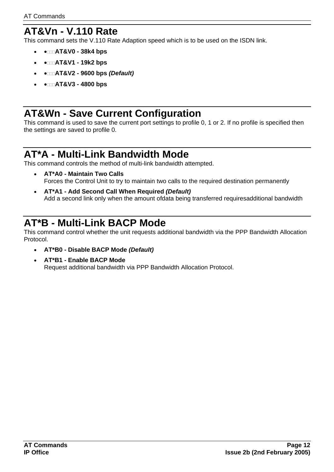### **AT&Vn - V.110 Rate**

This command sets the V.110 Rate Adaption speed which is to be used on the ISDN link.

- •**AT&V0 38k4 bps**
- •**AT&V1 19k2 bps**
- •**AT&V2 9600 bps** *(Default)*
- •**AT&V3 4800 bps**

### **AT&Wn - Save Current Configuration**

This command is used to save the current port settings to profile 0, 1 or 2. If no profile is specified then the settings are saved to profile 0.

### **AT\*A - Multi-Link Bandwidth Mode**

This command controls the method of multi-link bandwidth attempted.

- **AT\*A0 Maintain Two Calls** Forces the Control Unit to try to maintain two calls to the required destination permanently
- **AT\*A1 Add Second Call When Required** *(Default)* Add a second link only when the amount ofdata being transferred requiresadditional bandwidth

### **AT\*B - Multi-Link BACP Mode**

This command control whether the unit requests additional bandwidth via the PPP Bandwidth Allocation Protocol.

- **AT\*B0 Disable BACP Mode** *(Default)*
- **AT\*B1 Enable BACP Mode** Request additional bandwidth via PPP Bandwidth Allocation Protocol.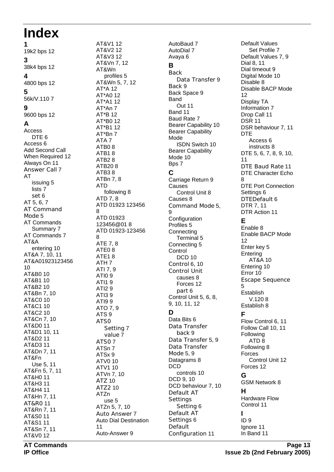## **Index**

**1** 19k2 bps 12 **3** 38k4 bps 12 **4** 4800 bps 12 **5** 56k/V.110 7 **9** 9600 bps 12 **A** Access DTE<sub>6</sub> Access 6 Add Second Call When Required 12 Always On 11 Answer Call 7 AT issuing 5 lists 7 set 6 AT 5, 6, 7 AT Command Mode 5 AT Commands Summary 7 AT Commands 7 AT&A entering 10 AT&A 7, 10, 11 AT&A01923123456 10 AT&B0 10 AT&B1 10 AT&B2 10 AT&Bn 7, 10 AT&C0 10 AT&C1 10 AT&C2 10 AT&Cn 7, 10 AT&D0 11 AT&D1 10, 11 AT&D2 11 AT&D3 11 AT&Dn 7, 11 AT&Fn Use 5, 11 AT&Fn 5, 7, 11 AT&H0 11 AT&H3 11 AT&H4 11 AT&Hn 7, 11 AT&R0 11 AT&Rn 7, 11 AT&S0 11 AT&S1 11 AT&Sn 7, 11 AT&V0 12

AT&V1 12 AT&V2 12 AT&V3 12 AT&Vn 7, 12 AT&Wn profiles 5 AT&Wn 5, 7, 12 AT\*A 12 AT\*A0 12 AT\*A1 12 AT\*An 7 AT\*B 12 AT\*B0 12 AT\*B1 12 AT\*Bn 7 ATA 7 ATB0 8 ATB1 8 ATB2 8 ATB20 8 ATB3 8 ATBn 7, 8 ATD following 8 ATD 7, 8 ATD 01923 123456 8 ATD 01923 123456@01 8 ATD 01923-123456 8 ATE 7, 8 ATE0 8 ATE1 8 ATH 7 ATI 7, 9 ATI0 9 ATI1 9 ATI2 9 ATI3 9 ATI9 9 ATO 7, 9 ATS 9 ATS0 Setting 7 value 7 ATS0 7 ATSn 7 ATSx 9 ATV0 10 ATV1 10 ATVn 7, 10 ATZ 10 ATZ2 10 ATZn use 5 ATZn 5, 7, 10 Auto Answer 7 Auto Dial Destination 11 Auto-Answer 9

AutoBaud 7 AutoDial 7 Avaya 6 **B Back** Data Transfer 9 Back 9 Back Space 9 Band Out 11 Band 11 Baud Rate 7 Bearer Capability 10 Bearer Capability Mode ISDN Switch 10 Bearer Capability Mode 10 Bps 7 **C** Carriage Return 9 Causes Control Unit 8 Causes 8 Command Mode 5, 9 **Configuration** Profiles 5 **Connecting** Terminal 5 Connecting 5 **Control** DCD<sub>10</sub> Control 6, 10 Control Unit causes 8 Forces 12 part 6 Control Unit 5, 6, 8, 9, 10, 11, 12 **D** Data Bits 6 Data Transfer back 9 Data Transfer 5, 9 Data Transfer Mode 5, 9 Datagrams 8 DCD controls 10 DCD 9, 10 DCD behaviour 7, 10 Default AT **Settings** Setting 6 Default AT Settings 6 Default Configuration 11

Default Values Set Profile 7 Default Values 7, 9 Dial 8, 11 Dial timeout 9 Digital Mode 10 Disable 8 Disable BACP Mode 12 Display TA Information 7 Drop Call 11 DSR 11 DSR behaviour 7, 11 DTE Access 6 instructs 8 DTE 5, 6, 7, 8, 9, 10, 11 DTE Baud Rate 11 DTE Character Echo 8 DTE Port Connection Settings 6 DTEDefault 6 DTR 7, 11 DTR Action 11 **E** Enable 8 Enable BACP Mode 12 Enter key 5 **Entering** AT&A 10 Entering 10 Error 10 Escape Sequence 5 Establish V.120 8 Establish 8 **F** Flow Control 6, 11 Follow Call 10, 11 Following ATD 8 Following 8 Forces Control Unit 12 Forces 12 **G** GSM Network 8 **H** Hardware Flow Control 11 **I** ID 9 Ignore 11 In Band 11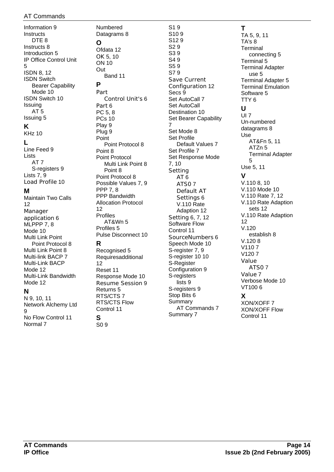#### AT Commands

Information 9 **Instructs** DTE<sub>8</sub> Instructs 8 Introduction 5 IP Office Control Unit 5 ISDN 8, 12 ISDN Switch Bearer Capability Mode 10 ISDN Switch 10 Issuing AT 5 Issuing 5 **K** KHz 10 **L** Line Feed 9 Lists AT 7 S-registers 9 Lists 7, 9 Load Profile 10

#### **M**

Maintain Two Calls 12 Manager application 6 MLPPP 7, 8 Mode 10 Multi Link Point Point Protocol 8 Multi Link Point 8 Multi-link BACP 7 Multi-Link BACP Mode 12 Multi-Link Bandwidth Mode 12

#### **N**

N 9, 10, 11 Network Alchemy Ltd  $\alpha$ No Flow Control 11 Normal 7

**S** S0 9

Numbered Datagrams 8 **O** Ofdata 12 OK 5, 10 ON 10 Out Band 11 **P** Part Control Unit's 6 Part 6 PC 5, 8 PCs 10 Play 9 Plug 9 Point Point Protocol 8 Point 8 Point Protocol Multi Link Point 8 Point 8 Point Protocol 8 Possible Values 7, 9 PPP 7, 8 PPP Bandwidth Allocation Protocol 12 Profiles AT&Wn 5 Profiles 5 Pulse Disconnect 10 **R** Recognised 5 Requiresadditional 12 Reset 11 Response Mode 10 Resume Session 9 Returns 5 RTS/CTS 7 RTS/CTS Flow Control 11

S1 9 S10 9 S12 9 S2 9 S3 9 S4 9 S5 9 S7 9 Save Current Configuration 12 Secs 9 Set AutoCall 7 Set AutoCall Destination 10 Set Bearer Capability 7 Set Mode 8 Set Profile Default Values 7 Set Profile 7 Set Response Mode 7, 10 Setting AT 6 ATS0 7 Default AT Settings 6 V.110 Rate Adaption 12 Setting 6, 7, 12 Software Flow Control 11 SourceNumbers 6 Speech Mode 10 S-register 7, 9 S-register 10 10 S-Register Configuration 9 S-registers lists 9 S-registers 9 Stop Bits 6 Summary AT Commands 7

Summary 7

**T** TA 5, 9, 11 TA's 8 **Terminal** connecting 5 Terminal 5 Terminal Adapter use 5 Terminal Adapter 5 Terminal Emulation Software 5 TTY 6 **U** UI 7 Un-numbered datagrams 8 Use AT&Fn 5, 11 ATZn 5 Terminal Adapter 5 Use 5, 11 **V** V.110 8, 10 V.110 Mode 10 V.110 Rate 7, 12 V.110 Rate Adaption sets 12 V.110 Rate Adaption 12 V.120 establish 8 V.120 8 V110 7 V120 7 Value ATS0 7 Value 7 Verbose Mode 10 VT100 6 **X** XON/XOFF 7 XON/XOFF Flow Control 11